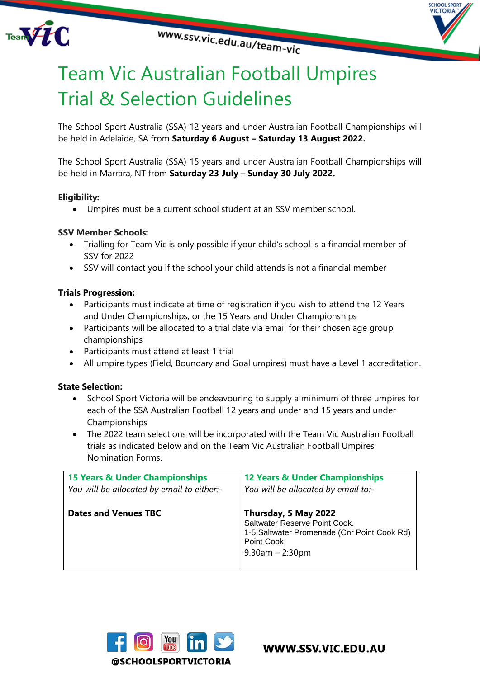



# Team Vic Australian Football Umpires Trial & Selection Guidelines

The School Sport Australia (SSA) 12 years and under Australian Football Championships will be held in Adelaide, SA from **Saturday 6 August – Saturday 13 August 2022.**

The School Sport Australia (SSA) 15 years and under Australian Football Championships will be held in Marrara, NT from **Saturday 23 July – Sunday 30 July 2022.**

# **Eligibility:**

• Umpires must be a current school student at an SSV member school.

# **SSV Member Schools:**

- Trialling for Team Vic is only possible if your child's school is a financial member of SSV for 2022
- SSV will contact you if the school your child attends is not a financial member

# **Trials Progression:**

- Participants must indicate at time of registration if you wish to attend the 12 Years and Under Championships, or the 15 Years and Under Championships
- Participants will be allocated to a trial date via email for their chosen age group championships
- Participants must attend at least 1 trial
- All umpire types (Field, Boundary and Goal umpires) must have a Level 1 accreditation.

# **State Selection:**

- School Sport Victoria will be endeavouring to supply a minimum of three umpires for each of the SSA Australian Football 12 years and under and 15 years and under Championships
- The 2022 team selections will be incorporated with the Team Vic Australian Football trials as indicated below and on the Team Vic Australian Football Umpires Nomination Forms.

| <b>15 Years &amp; Under Championships</b>  | <b>12 Years &amp; Under Championships</b>                                                                                                   |
|--------------------------------------------|---------------------------------------------------------------------------------------------------------------------------------------------|
| You will be allocated by email to either:- | You will be allocated by email to:-                                                                                                         |
| <b>Dates and Venues TBC</b>                | Thursday, 5 May 2022<br>Saltwater Reserve Point Cook.<br>1-5 Saltwater Promenade (Cnr Point Cook Rd)<br>Point Cook<br>$9.30$ am $- 2.30$ pm |



WWW.SSV.VIC.EDU.AU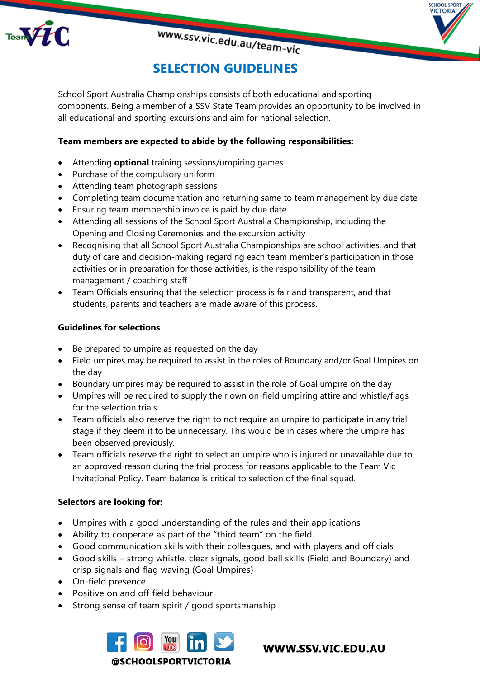



# **SELECTION GUIDELINES**

www.ssv.vic.edu.au/team-vic

School Sport Australia Championships consists of both educational and sporting components. Being a member of a SSV State Team provides an opportunity to be involved in all educational and sporting excursions and aim for national selection.

# **Team members are expected to abide by the following responsibilities:**

- Attending **optional** training sessions/umpiring games
- Purchase of the compulsory uniform
- Attending team photograph sessions
- Completing team documentation and returning same to team management by due date
- Ensuring team membership invoice is paid by due date
- Attending all sessions of the School Sport Australia Championship, including the Opening and Closing Ceremonies and the excursion activity
- Recognising that all School Sport Australia Championships are school activities, and that duty of care and decision-making regarding each team member's participation in those activities or in preparation for those activities, is the responsibility of the team management / coaching staff
- Team Officials ensuring that the selection process is fair and transparent, and that students, parents and teachers are made aware of this process.

#### **Guidelines for selections**

- Be prepared to umpire as requested on the day
- Field umpires may be required to assist in the roles of Boundary and/or Goal Umpires on the day
- Boundary umpires may be required to assist in the role of Goal umpire on the day
- Umpires will be required to supply their own on-field umpiring attire and whistle/flags for the selection trials
- Team officials also reserve the right to not require an umpire to participate in any trial stage if they deem it to be unnecessary. This would be in cases where the umpire has been observed previously.
- Team officials reserve the right to select an umpire who is injured or unavailable due to an approved reason during the trial process for reasons applicable to the Team Vic Invitational Policy. Team balance is critical to selection of the final squad.

#### **Selectors are looking for:**

- Umpires with a good understanding of the rules and their applications
- Ability to cooperate as part of the "third team" on the field
- Good communication skills with their colleagues, and with players and officials
- Good skills strong whistle, clear signals, good ball skills (Field and Boundary) and crisp signals and flag waving (Goal Umpires)
- On-field presence
- Positive on and off field behaviour
- Strong sense of team spirit / good sportsmanship



WWW.SSV.VIC.EDU.AU